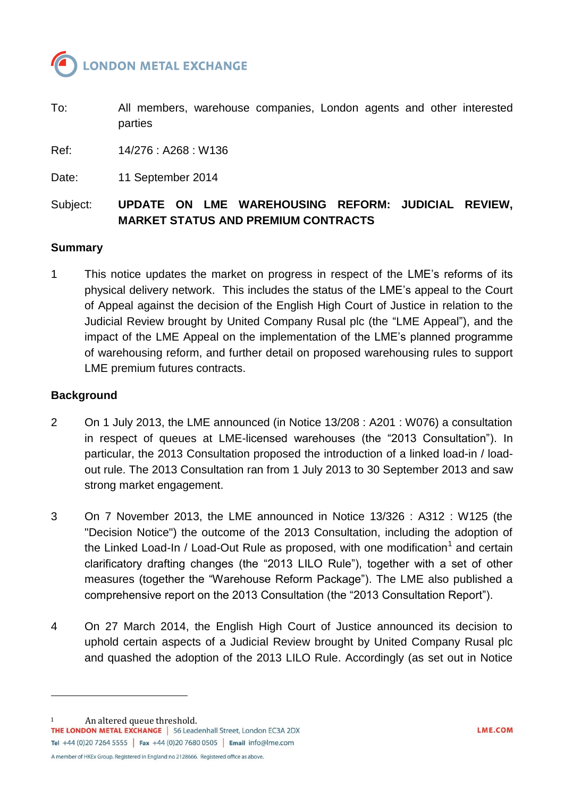

To: All members, warehouse companies, London agents and other interested parties

Ref: 14/276 : A268 : W136

Date: 11 September 2014

# Subject: **UPDATE ON LME WAREHOUSING REFORM: JUDICIAL REVIEW, MARKET STATUS AND PREMIUM CONTRACTS**

#### **Summary**

1 This notice updates the market on progress in respect of the LME's reforms of its physical delivery network. This includes the status of the LME's appeal to the Court of Appeal against the decision of the English High Court of Justice in relation to the Judicial Review brought by United Company Rusal plc (the "LME Appeal"), and the impact of the LME Appeal on the implementation of the LME's planned programme of warehousing reform, and further detail on proposed warehousing rules to support LME premium futures contracts.

#### **Background**

- 2 On 1 July 2013, the LME announced (in Notice 13/208 : A201 : W076) a consultation in respect of queues at LME-licensed warehouses (the "2013 Consultation"). In particular, the 2013 Consultation proposed the introduction of a linked load-in / loadout rule. The 2013 Consultation ran from 1 July 2013 to 30 September 2013 and saw strong market engagement.
- 3 On 7 November 2013, the LME announced in Notice 13/326 : A312 : W125 (the "Decision Notice") the outcome of the 2013 Consultation, including the adoption of the Linked Load-In / Load-Out Rule as proposed, with one modification<sup>1</sup> and certain clarificatory drafting changes (the "2013 LILO Rule"), together with a set of other measures (together the "Warehouse Reform Package"). The LME also published a comprehensive report on the 2013 Consultation (the "2013 Consultation Report").
- 4 On 27 March 2014, the English High Court of Justice announced its decision to uphold certain aspects of a Judicial Review brought by United Company Rusal plc and quashed the adoption of the 2013 LILO Rule. Accordingly (as set out in Notice

l

1 An altered queue threshold.<br> **THE LONDON METAL EXCHANGE** | 56 Leadenhall Street, London EC3A 2DX Tel +44 (0)20 7264 5555 | Fax +44 (0)20 7680 0505 | Email info@lme.com A member of HKEx Group. Registered in England no 2128666. Registered office as above.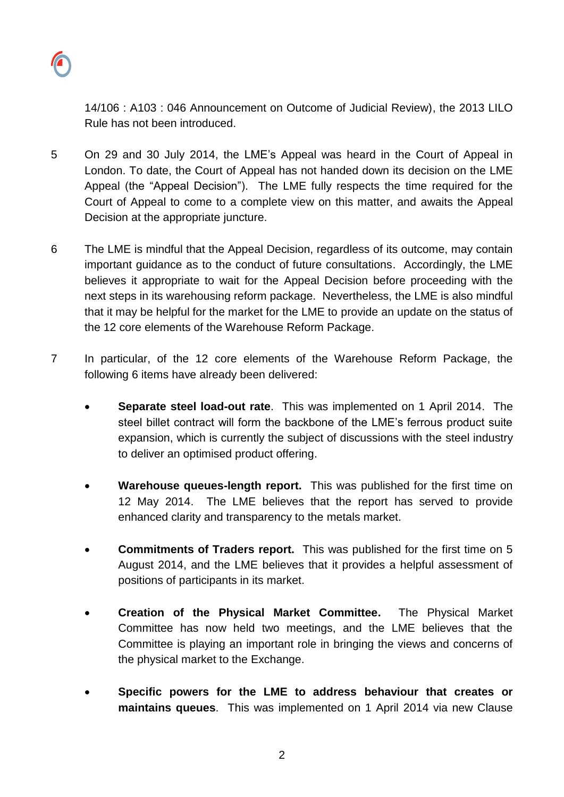

14/106 : A103 : 046 Announcement on Outcome of Judicial Review), the 2013 LILO Rule has not been introduced.

- 5 On 29 and 30 July 2014, the LME's Appeal was heard in the Court of Appeal in London. To date, the Court of Appeal has not handed down its decision on the LME Appeal (the "Appeal Decision"). The LME fully respects the time required for the Court of Appeal to come to a complete view on this matter, and awaits the Appeal Decision at the appropriate juncture.
- 6 The LME is mindful that the Appeal Decision, regardless of its outcome, may contain important guidance as to the conduct of future consultations. Accordingly, the LME believes it appropriate to wait for the Appeal Decision before proceeding with the next steps in its warehousing reform package. Nevertheless, the LME is also mindful that it may be helpful for the market for the LME to provide an update on the status of the 12 core elements of the Warehouse Reform Package.
- 7 In particular, of the 12 core elements of the Warehouse Reform Package, the following 6 items have already been delivered:
	- **Separate steel load-out rate**. This was implemented on 1 April 2014. The steel billet contract will form the backbone of the LME's ferrous product suite expansion, which is currently the subject of discussions with the steel industry to deliver an optimised product offering.
	- **Warehouse queues-length report.** This was published for the first time on 12 May 2014. The LME believes that the report has served to provide enhanced clarity and transparency to the metals market.
	- **Commitments of Traders report.** This was published for the first time on 5 August 2014, and the LME believes that it provides a helpful assessment of positions of participants in its market.
	- **Creation of the Physical Market Committee.** The Physical Market Committee has now held two meetings, and the LME believes that the Committee is playing an important role in bringing the views and concerns of the physical market to the Exchange.
	- **Specific powers for the LME to address behaviour that creates or maintains queues**. This was implemented on 1 April 2014 via new Clause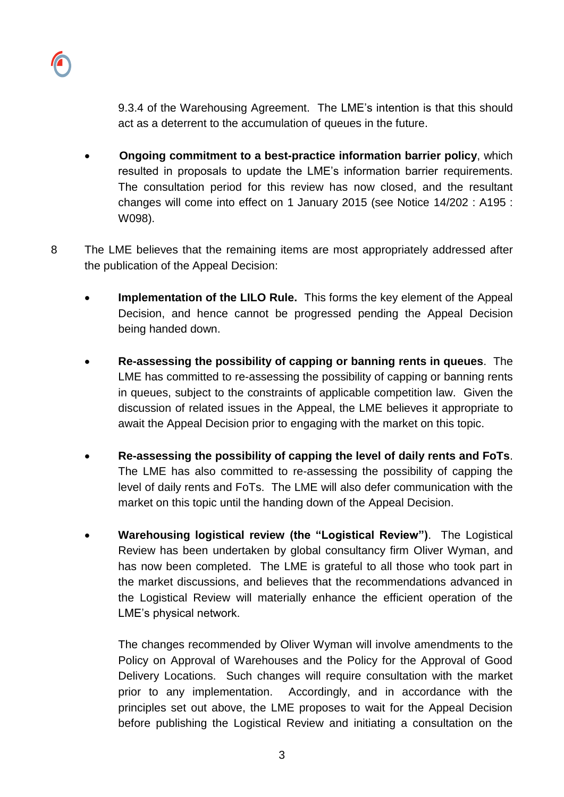9.3.4 of the Warehousing Agreement. The LME's intention is that this should act as a deterrent to the accumulation of queues in the future.

- **Ongoing commitment to a best-practice information barrier policy**, which resulted in proposals to update the LME's information barrier requirements. The consultation period for this review has now closed, and the resultant changes will come into effect on 1 January 2015 (see Notice 14/202 : A195 : W098).
- 8 The LME believes that the remaining items are most appropriately addressed after the publication of the Appeal Decision:
	- **Implementation of the LILO Rule.** This forms the key element of the Appeal Decision, and hence cannot be progressed pending the Appeal Decision being handed down.
	- **Re-assessing the possibility of capping or banning rents in queues**. The LME has committed to re-assessing the possibility of capping or banning rents in queues, subject to the constraints of applicable competition law. Given the discussion of related issues in the Appeal, the LME believes it appropriate to await the Appeal Decision prior to engaging with the market on this topic.
	- **Re-assessing the possibility of capping the level of daily rents and FoTs**. The LME has also committed to re-assessing the possibility of capping the level of daily rents and FoTs. The LME will also defer communication with the market on this topic until the handing down of the Appeal Decision.
	- **Warehousing logistical review (the "Logistical Review")**. The Logistical Review has been undertaken by global consultancy firm Oliver Wyman, and has now been completed. The LME is grateful to all those who took part in the market discussions, and believes that the recommendations advanced in the Logistical Review will materially enhance the efficient operation of the LME's physical network.

The changes recommended by Oliver Wyman will involve amendments to the Policy on Approval of Warehouses and the Policy for the Approval of Good Delivery Locations. Such changes will require consultation with the market prior to any implementation. Accordingly, and in accordance with the principles set out above, the LME proposes to wait for the Appeal Decision before publishing the Logistical Review and initiating a consultation on the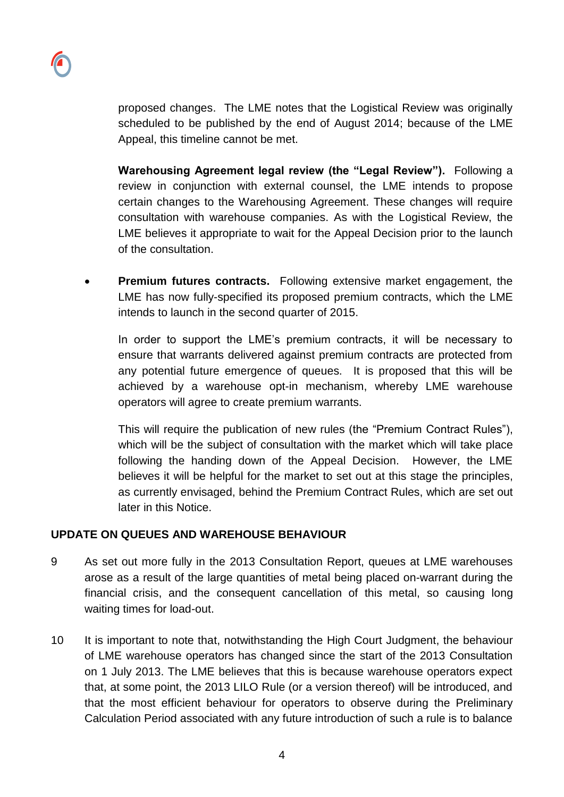proposed changes. The LME notes that the Logistical Review was originally scheduled to be published by the end of August 2014; because of the LME Appeal, this timeline cannot be met.

- **Warehousing Agreement legal review (the "Legal Review").** Following a review in conjunction with external counsel, the LME intends to propose certain changes to the Warehousing Agreement. These changes will require consultation with warehouse companies. As with the Logistical Review, the LME believes it appropriate to wait for the Appeal Decision prior to the launch of the consultation.
- **Premium futures contracts.** Following extensive market engagement, the LME has now fully-specified its proposed premium contracts, which the LME intends to launch in the second quarter of 2015.

In order to support the LME's premium contracts, it will be necessary to ensure that warrants delivered against premium contracts are protected from any potential future emergence of queues. It is proposed that this will be achieved by a warehouse opt-in mechanism, whereby LME warehouse operators will agree to create premium warrants.

This will require the publication of new rules (the "Premium Contract Rules"), which will be the subject of consultation with the market which will take place following the handing down of the Appeal Decision. However, the LME believes it will be helpful for the market to set out at this stage the principles, as currently envisaged, behind the Premium Contract Rules, which are set out later in this Notice.

## **UPDATE ON QUEUES AND WAREHOUSE BEHAVIOUR**

- 9 As set out more fully in the 2013 Consultation Report, queues at LME warehouses arose as a result of the large quantities of metal being placed on-warrant during the financial crisis, and the consequent cancellation of this metal, so causing long waiting times for load-out.
- 10 It is important to note that, notwithstanding the High Court Judgment, the behaviour of LME warehouse operators has changed since the start of the 2013 Consultation on 1 July 2013. The LME believes that this is because warehouse operators expect that, at some point, the 2013 LILO Rule (or a version thereof) will be introduced, and that the most efficient behaviour for operators to observe during the Preliminary Calculation Period associated with any future introduction of such a rule is to balance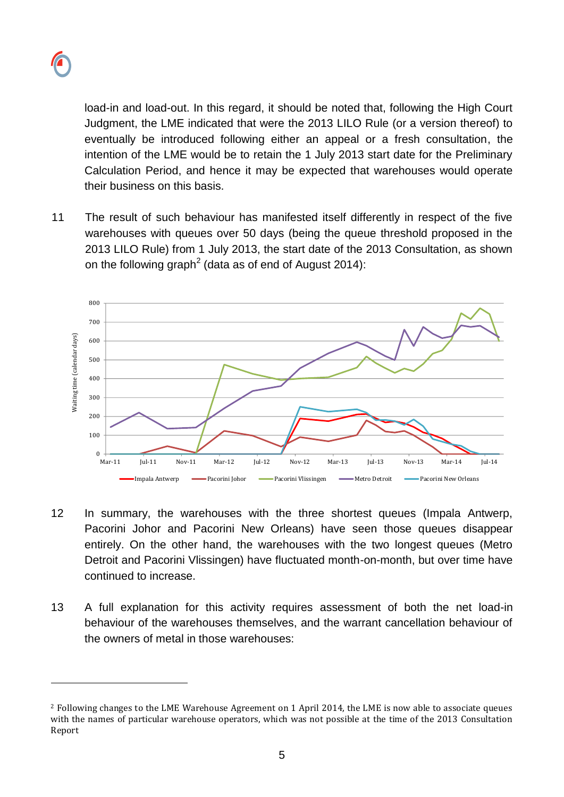l

load-in and load-out. In this regard, it should be noted that, following the High Court Judgment, the LME indicated that were the 2013 LILO Rule (or a version thereof) to eventually be introduced following either an appeal or a fresh consultation, the intention of the LME would be to retain the 1 July 2013 start date for the Preliminary Calculation Period, and hence it may be expected that warehouses would operate their business on this basis.

11 The result of such behaviour has manifested itself differently in respect of the five warehouses with queues over 50 days (being the queue threshold proposed in the 2013 LILO Rule) from 1 July 2013, the start date of the 2013 Consultation, as shown on the following graph<sup>2</sup> (data as of end of August 2014):



- 12 In summary, the warehouses with the three shortest queues (Impala Antwerp, Pacorini Johor and Pacorini New Orleans) have seen those queues disappear entirely. On the other hand, the warehouses with the two longest queues (Metro Detroit and Pacorini Vlissingen) have fluctuated month-on-month, but over time have continued to increase.
- 13 A full explanation for this activity requires assessment of both the net load-in behaviour of the warehouses themselves, and the warrant cancellation behaviour of the owners of metal in those warehouses:

<sup>2</sup> Following changes to the LME Warehouse Agreement on 1 April 2014, the LME is now able to associate queues with the names of particular warehouse operators, which was not possible at the time of the 2013 Consultation Report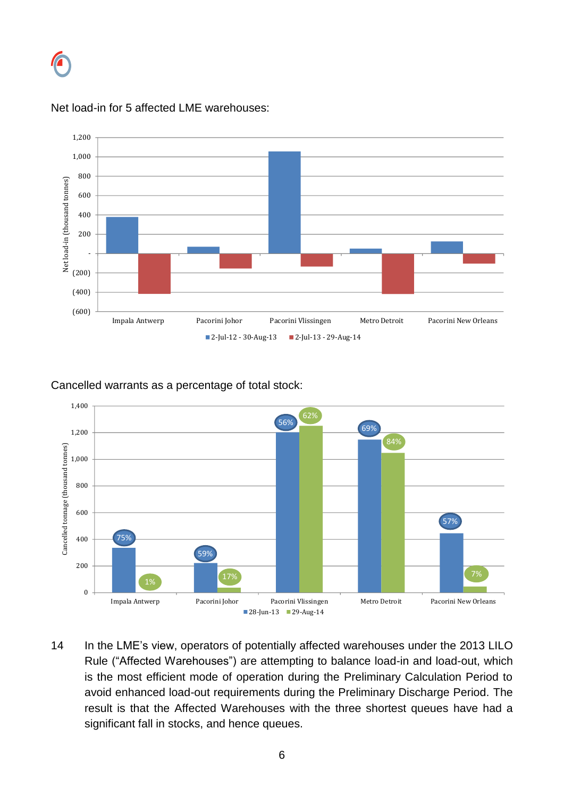



#### Net load-in for 5 affected LME warehouses:

Cancelled warrants as a percentage of total stock:



14 In the LME's view, operators of potentially affected warehouses under the 2013 LILO Rule ("Affected Warehouses") are attempting to balance load-in and load-out, which is the most efficient mode of operation during the Preliminary Calculation Period to avoid enhanced load-out requirements during the Preliminary Discharge Period. The result is that the Affected Warehouses with the three shortest queues have had a significant fall in stocks, and hence queues.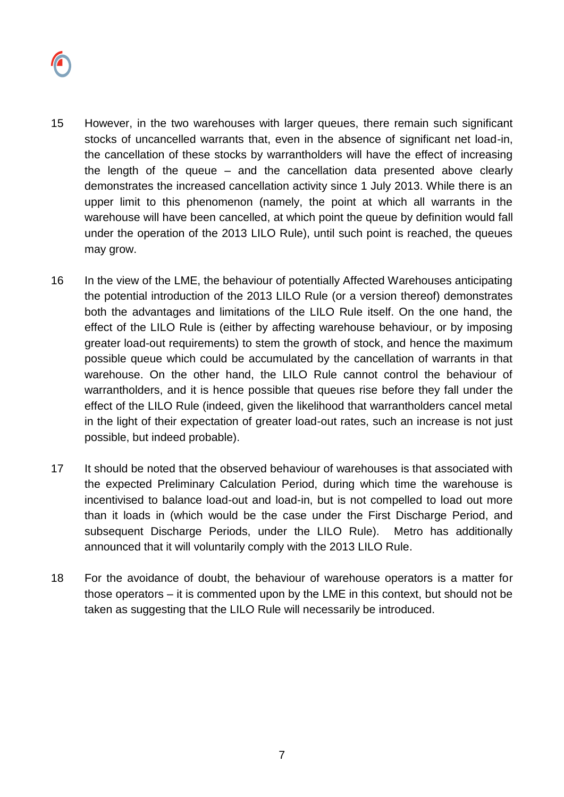

- 15 However, in the two warehouses with larger queues, there remain such significant stocks of uncancelled warrants that, even in the absence of significant net load-in, the cancellation of these stocks by warrantholders will have the effect of increasing the length of the queue – and the cancellation data presented above clearly demonstrates the increased cancellation activity since 1 July 2013. While there is an upper limit to this phenomenon (namely, the point at which all warrants in the warehouse will have been cancelled, at which point the queue by definition would fall under the operation of the 2013 LILO Rule), until such point is reached, the queues may grow.
- 16 In the view of the LME, the behaviour of potentially Affected Warehouses anticipating the potential introduction of the 2013 LILO Rule (or a version thereof) demonstrates both the advantages and limitations of the LILO Rule itself. On the one hand, the effect of the LILO Rule is (either by affecting warehouse behaviour, or by imposing greater load-out requirements) to stem the growth of stock, and hence the maximum possible queue which could be accumulated by the cancellation of warrants in that warehouse. On the other hand, the LILO Rule cannot control the behaviour of warrantholders, and it is hence possible that queues rise before they fall under the effect of the LILO Rule (indeed, given the likelihood that warrantholders cancel metal in the light of their expectation of greater load-out rates, such an increase is not just possible, but indeed probable).
- 17 It should be noted that the observed behaviour of warehouses is that associated with the expected Preliminary Calculation Period, during which time the warehouse is incentivised to balance load-out and load-in, but is not compelled to load out more than it loads in (which would be the case under the First Discharge Period, and subsequent Discharge Periods, under the LILO Rule). Metro has additionally announced that it will voluntarily comply with the 2013 LILO Rule.
- 18 For the avoidance of doubt, the behaviour of warehouse operators is a matter for those operators – it is commented upon by the LME in this context, but should not be taken as suggesting that the LILO Rule will necessarily be introduced.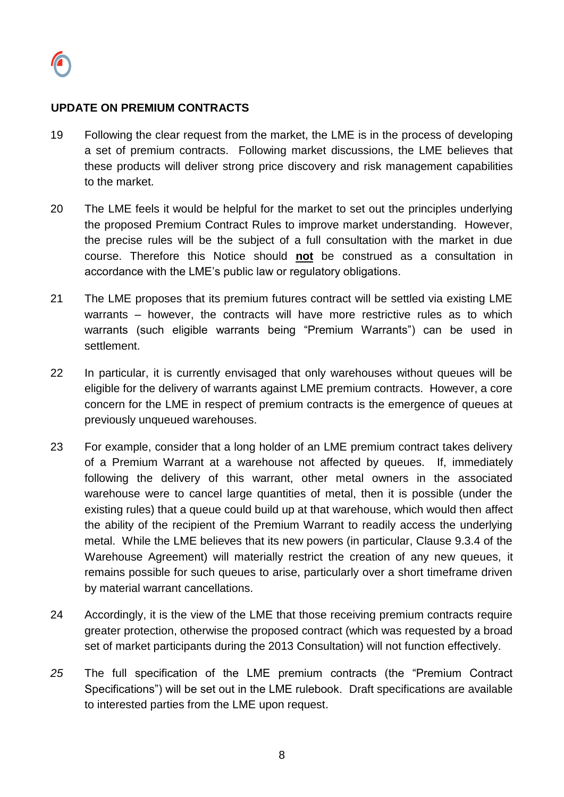

### **UPDATE ON PREMIUM CONTRACTS**

- 19 Following the clear request from the market, the LME is in the process of developing a set of premium contracts. Following market discussions, the LME believes that these products will deliver strong price discovery and risk management capabilities to the market.
- 20 The LME feels it would be helpful for the market to set out the principles underlying the proposed Premium Contract Rules to improve market understanding. However, the precise rules will be the subject of a full consultation with the market in due course. Therefore this Notice should **not** be construed as a consultation in accordance with the LME's public law or regulatory obligations.
- 21 The LME proposes that its premium futures contract will be settled via existing LME warrants – however, the contracts will have more restrictive rules as to which warrants (such eligible warrants being "Premium Warrants") can be used in settlement.
- 22 In particular, it is currently envisaged that only warehouses without queues will be eligible for the delivery of warrants against LME premium contracts. However, a core concern for the LME in respect of premium contracts is the emergence of queues at previously unqueued warehouses.
- 23 For example, consider that a long holder of an LME premium contract takes delivery of a Premium Warrant at a warehouse not affected by queues. If, immediately following the delivery of this warrant, other metal owners in the associated warehouse were to cancel large quantities of metal, then it is possible (under the existing rules) that a queue could build up at that warehouse, which would then affect the ability of the recipient of the Premium Warrant to readily access the underlying metal. While the LME believes that its new powers (in particular, Clause 9.3.4 of the Warehouse Agreement) will materially restrict the creation of any new queues, it remains possible for such queues to arise, particularly over a short timeframe driven by material warrant cancellations.
- 24 Accordingly, it is the view of the LME that those receiving premium contracts require greater protection, otherwise the proposed contract (which was requested by a broad set of market participants during the 2013 Consultation) will not function effectively.
- *25* The full specification of the LME premium contracts (the "Premium Contract Specifications") will be set out in the LME rulebook. Draft specifications are available to interested parties from the LME upon request.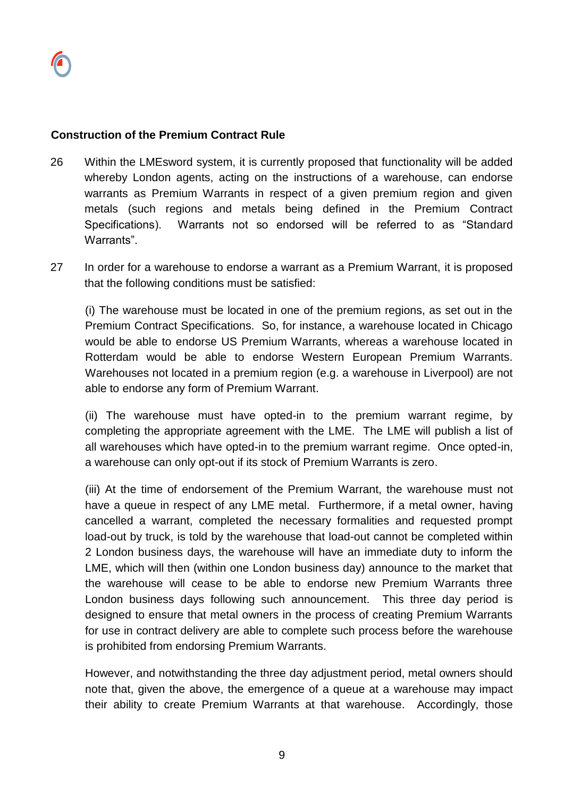## **Construction of the Premium Contract Rule**

- 26 Within the LMEsword system, it is currently proposed that functionality will be added whereby London agents, acting on the instructions of a warehouse, can endorse warrants as Premium Warrants in respect of a given premium region and given metals (such regions and metals being defined in the Premium Contract Specifications). Warrants not so endorsed will be referred to as "Standard Warrants".
- 27 In order for a warehouse to endorse a warrant as a Premium Warrant, it is proposed that the following conditions must be satisfied:

(i) The warehouse must be located in one of the premium regions, as set out in the Premium Contract Specifications. So, for instance, a warehouse located in Chicago would be able to endorse US Premium Warrants, whereas a warehouse located in Rotterdam would be able to endorse Western European Premium Warrants. Warehouses not located in a premium region (e.g. a warehouse in Liverpool) are not able to endorse any form of Premium Warrant.

(ii) The warehouse must have opted-in to the premium warrant regime, by completing the appropriate agreement with the LME. The LME will publish a list of all warehouses which have opted-in to the premium warrant regime. Once opted-in, a warehouse can only opt-out if its stock of Premium Warrants is zero.

(iii) At the time of endorsement of the Premium Warrant, the warehouse must not have a queue in respect of any LME metal. Furthermore, if a metal owner, having cancelled a warrant, completed the necessary formalities and requested prompt load-out by truck, is told by the warehouse that load-out cannot be completed within 2 London business days, the warehouse will have an immediate duty to inform the LME, which will then (within one London business day) announce to the market that the warehouse will cease to be able to endorse new Premium Warrants three London business days following such announcement. This three day period is designed to ensure that metal owners in the process of creating Premium Warrants for use in contract delivery are able to complete such process before the warehouse is prohibited from endorsing Premium Warrants.

However, and notwithstanding the three day adjustment period, metal owners should note that, given the above, the emergence of a queue at a warehouse may impact their ability to create Premium Warrants at that warehouse. Accordingly, those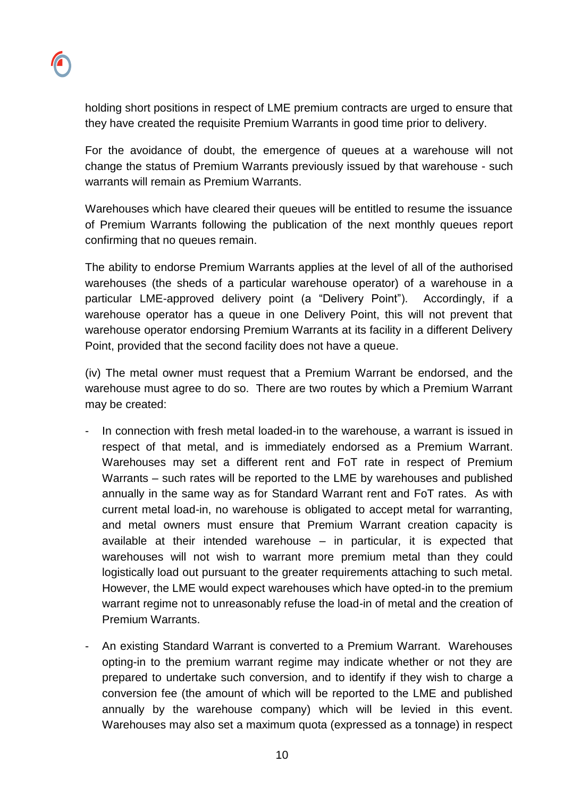holding short positions in respect of LME premium contracts are urged to ensure that they have created the requisite Premium Warrants in good time prior to delivery.

For the avoidance of doubt, the emergence of queues at a warehouse will not change the status of Premium Warrants previously issued by that warehouse - such warrants will remain as Premium Warrants.

Warehouses which have cleared their queues will be entitled to resume the issuance of Premium Warrants following the publication of the next monthly queues report confirming that no queues remain.

The ability to endorse Premium Warrants applies at the level of all of the authorised warehouses (the sheds of a particular warehouse operator) of a warehouse in a particular LME-approved delivery point (a "Delivery Point"). Accordingly, if a warehouse operator has a queue in one Delivery Point, this will not prevent that warehouse operator endorsing Premium Warrants at its facility in a different Delivery Point, provided that the second facility does not have a queue.

(iv) The metal owner must request that a Premium Warrant be endorsed, and the warehouse must agree to do so. There are two routes by which a Premium Warrant may be created:

- In connection with fresh metal loaded-in to the warehouse, a warrant is issued in respect of that metal, and is immediately endorsed as a Premium Warrant. Warehouses may set a different rent and FoT rate in respect of Premium Warrants – such rates will be reported to the LME by warehouses and published annually in the same way as for Standard Warrant rent and FoT rates. As with current metal load-in, no warehouse is obligated to accept metal for warranting, and metal owners must ensure that Premium Warrant creation capacity is available at their intended warehouse – in particular, it is expected that warehouses will not wish to warrant more premium metal than they could logistically load out pursuant to the greater requirements attaching to such metal. However, the LME would expect warehouses which have opted-in to the premium warrant regime not to unreasonably refuse the load-in of metal and the creation of Premium Warrants.
- An existing Standard Warrant is converted to a Premium Warrant. Warehouses opting-in to the premium warrant regime may indicate whether or not they are prepared to undertake such conversion, and to identify if they wish to charge a conversion fee (the amount of which will be reported to the LME and published annually by the warehouse company) which will be levied in this event. Warehouses may also set a maximum quota (expressed as a tonnage) in respect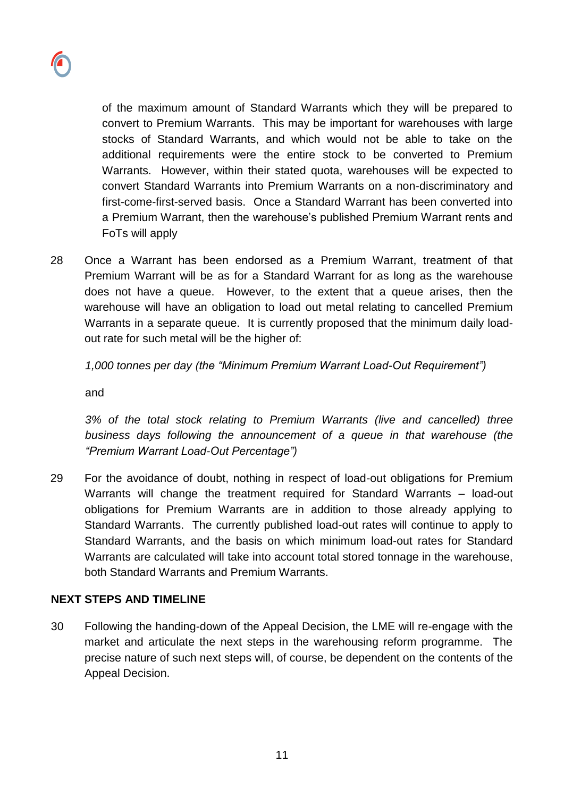

of the maximum amount of Standard Warrants which they will be prepared to convert to Premium Warrants. This may be important for warehouses with large stocks of Standard Warrants, and which would not be able to take on the additional requirements were the entire stock to be converted to Premium Warrants. However, within their stated quota, warehouses will be expected to convert Standard Warrants into Premium Warrants on a non-discriminatory and first-come-first-served basis. Once a Standard Warrant has been converted into a Premium Warrant, then the warehouse's published Premium Warrant rents and FoTs will apply

28 Once a Warrant has been endorsed as a Premium Warrant, treatment of that Premium Warrant will be as for a Standard Warrant for as long as the warehouse does not have a queue. However, to the extent that a queue arises, then the warehouse will have an obligation to load out metal relating to cancelled Premium Warrants in a separate queue. It is currently proposed that the minimum daily loadout rate for such metal will be the higher of:

*1,000 tonnes per day (the "Minimum Premium Warrant Load-Out Requirement")*

and

*3% of the total stock relating to Premium Warrants (live and cancelled) three business days following the announcement of a queue in that warehouse (the "Premium Warrant Load-Out Percentage")* 

29 For the avoidance of doubt, nothing in respect of load-out obligations for Premium Warrants will change the treatment required for Standard Warrants – load-out obligations for Premium Warrants are in addition to those already applying to Standard Warrants. The currently published load-out rates will continue to apply to Standard Warrants, and the basis on which minimum load-out rates for Standard Warrants are calculated will take into account total stored tonnage in the warehouse, both Standard Warrants and Premium Warrants.

## **NEXT STEPS AND TIMELINE**

30 Following the handing-down of the Appeal Decision, the LME will re-engage with the market and articulate the next steps in the warehousing reform programme. The precise nature of such next steps will, of course, be dependent on the contents of the Appeal Decision.